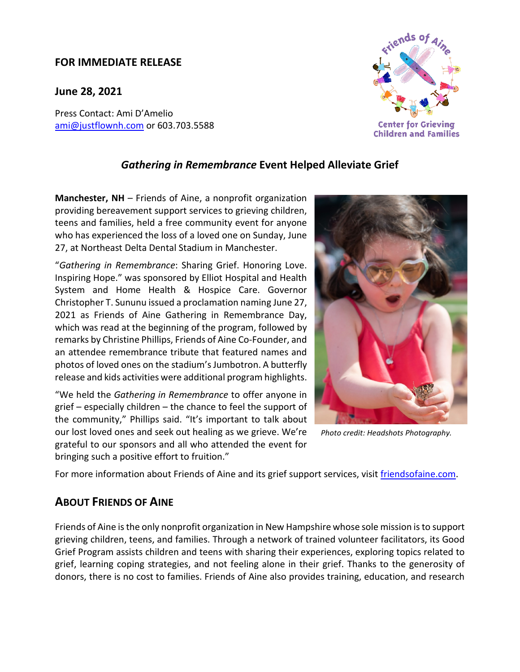## **FOR IMMEDIATE RELEASE**

**June 28, 2021**

Press Contact: Ami D'Amelio [ami@justflownh.com](mailto:ami@justflownh.com)</u> or 603.703.5588



## *Gathering in Remembrance* **Event Helped Alleviate Grief**

**Manchester, NH** – Friends of Aine, a nonprofit organization providing bereavement support services to grieving children, teens and families, held a free community event for anyone who has experienced the loss of a loved one on Sunday, June 27, at Northeast Delta Dental Stadium in Manchester.

"*Gathering in Remembrance*: Sharing Grief. Honoring Love. Inspiring Hope." was sponsored by Elliot Hospital and Health System and Home Health & Hospice Care. Governor Christopher T. Sununu issued a proclamation naming June 27, 2021 as Friends of Aine Gathering in Remembrance Day, which was read at the beginning of the program, followed by remarks by Christine Phillips, Friends of Aine Co-Founder, and an attendee remembrance tribute that featured names and photos of loved ones on the stadium's Jumbotron. A butterfly release and kids activities were additional program highlights.

"We held the *Gathering in Remembrance* to offer anyone in grief – especially children – the chance to feel the support of the community," Phillips said. "It's important to talk about our lost loved ones and seek out healing as we grieve. We're grateful to our sponsors and all who attended the event for bringing such a positive effort to fruition."



*Photo credit: Headshots Photography.*

For more information about Friends of Aine and its grief support services, visit [friendsofaine.com.](https://friendsofaine.com/)

## **ABOUT FRIENDS OF AINE**

Friends of Aine is the only nonprofit organization in New Hampshire whose sole mission is to support grieving children, teens, and families. Through a network of trained volunteer facilitators, its Good Grief Program assists children and teens with sharing their experiences, exploring topics related to grief, learning coping strategies, and not feeling alone in their grief. Thanks to the generosity of donors, there is no cost to families. Friends of Aine also provides training, education, and research